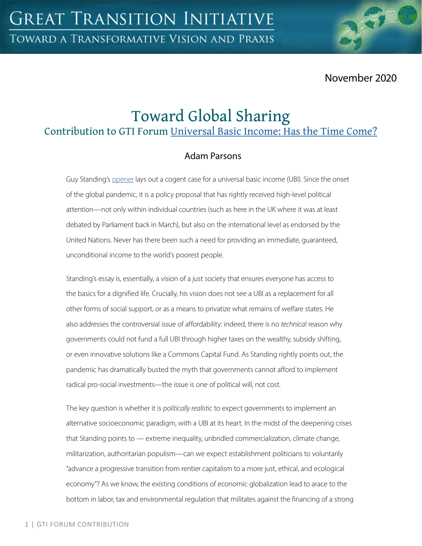November 2020

# Toward Global Sharing

Contribution to GTI Forum [Universal Basic Income: Has the Time Come?](https://greattransition.org/gti-forum/universal-basic-income)

## Adam Parsons

Guy Standing's [opener](https://greattransition.org/gti-forum/basic-income-standing) lays out a cogent case for a universal basic income (UBI). Since the onset of the global pandemic, it is a policy proposal that has rightly received high-level political attention—not only within individual countries (such as here in the UK where it was at least debated by Parliament back in March), but also on the international level as endorsed by the United Nations. Never has there been such a need for providing an immediate, guaranteed, unconditional income to the world's poorest people.

Standing's essay is, essentially, a vision of a just society that ensures everyone has access to the basics for a dignified life. Crucially, his vision does not see a UBI as a replacement for all other forms of social support, or as a means to privatize what remains of welfare states. He also addresses the controversial issue of affordability: indeed, there is no *technical* reason why governments could not fund a full UBI through higher taxes on the wealthy, subsidy shifting, or even innovative solutions like a Commons Capital Fund. As Standing rightly points out, the pandemic has dramatically busted the myth that governments cannot afford to implement radical pro-social investments—the issue is one of political will, not cost.

The key question is whether it is *politically realistic* to expect governments to implement an alternative socioeconomic paradigm, with a UBI at its heart. In the midst of the deepening crises that Standing points to — extreme inequality, unbridled commercialization, climate change, militarization, authoritarian populism—can we expect establishment politicians to voluntarily "advance a progressive transition from rentier capitalism to a more just, ethical, and ecological economy"? As we know, the existing conditions of economic globalization lead to arace to the bottom in labor, tax and environmental regulation that militates against the financing of a strong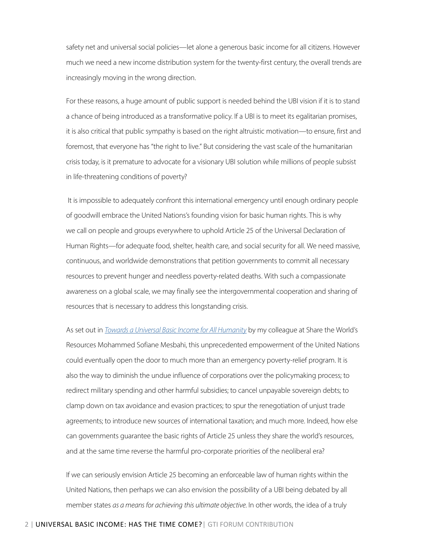safety net and universal social policies—let alone a generous basic income for all citizens. However much we need a new income distribution system for the twenty-first century, the overall trends are increasingly moving in the wrong direction.

For these reasons, a huge amount of public support is needed behind the UBI vision if it is to stand a chance of being introduced as a transformative policy. If a UBI is to meet its egalitarian promises, it is also critical that public sympathy is based on the right altruistic motivation—to ensure, first and foremost, that everyone has "the right to live." But considering the vast scale of the humanitarian crisis today, is it premature to advocate for a visionary UBI solution while millions of people subsist in life-threatening conditions of poverty?

 It is impossible to adequately confront this international emergency until enough ordinary people of goodwill embrace the United Nations's founding vision for basic human rights. This is why we call on people and groups everywhere to uphold Article 25 of the Universal Declaration of Human Rights—for adequate food, shelter, health care, and social security for all. We need massive, continuous, and worldwide demonstrations that petition governments to commit all necessary resources to prevent hunger and needless poverty-related deaths. With such a compassionate awareness on a global scale, we may finally see the intergovernmental cooperation and sharing of resources that is necessary to address this longstanding crisis.

As set out in *[Towards a Universal Basic Income for All Humanity](https://www.sharing.org/information-centre/news/new-release-popular-stwr-book-achieving-truly-universal-basic-income)* by my colleague at Share the World's Resources Mohammed Sofiane Mesbahi, this unprecedented empowerment of the United Nations could eventually open the door to much more than an emergency poverty-relief program. It is also the way to diminish the undue influence of corporations over the policymaking process; to redirect military spending and other harmful subsidies; to cancel unpayable sovereign debts; to clamp down on tax avoidance and evasion practices; to spur the renegotiation of unjust trade agreements; to introduce new sources of international taxation; and much more. Indeed, how else can governments guarantee the basic rights of Article 25 unless they share the world's resources, and at the same time reverse the harmful pro-corporate priorities of the neoliberal era?

If we can seriously envision Article 25 becoming an enforceable law of human rights within the United Nations, then perhaps we can also envision the possibility of a UBI being debated by all member states *as a means for achieving this ultimate objective*. In other words, the idea of a truly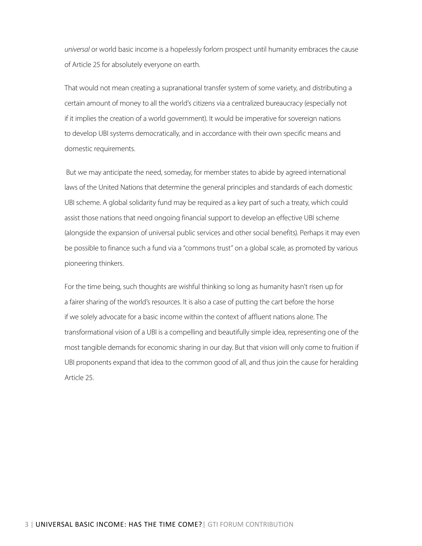*universal* or world basic income is a hopelessly forlorn prospect until humanity embraces the cause of Article 25 for absolutely everyone on earth.

That would not mean creating a supranational transfer system of some variety, and distributing a certain amount of money to all the world's citizens via a centralized bureaucracy (especially not if it implies the creation of a world government). It would be imperative for sovereign nations to develop UBI systems democratically, and in accordance with their own specific means and domestic requirements.

 But we may anticipate the need, someday, for member states to abide by agreed international laws of the United Nations that determine the general principles and standards of each domestic UBI scheme. A global solidarity fund may be required as a key part of such a treaty, which could assist those nations that need ongoing financial support to develop an effective UBI scheme (alongside the expansion of universal public services and other social benefits). Perhaps it may even be possible to finance such a fund via a "commons trust" on a global scale, as promoted by various pioneering thinkers.

For the time being, such thoughts are wishful thinking so long as humanity hasn't risen up for a fairer sharing of the world's resources. It is also a case of putting the cart before the horse if we solely advocate for a basic income within the context of affluent nations alone. The transformational vision of a UBI is a compelling and beautifully simple idea, representing one of the most tangible demands for economic sharing in our day. But that vision will only come to fruition if UBI proponents expand that idea to the common good of all, and thus join the cause for heralding Article 25.